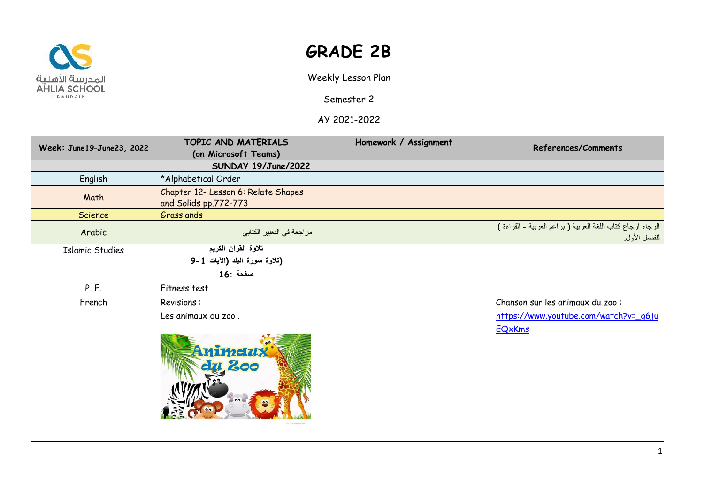

## **GRADE 2B**

Weekly Lesson Plan

Semester 2

AY 2021-2022

| Week: June19-June23, 2022 | TOPIC AND MATERIALS                                              | Homework / Assignment | References/Comments                                                                        |
|---------------------------|------------------------------------------------------------------|-----------------------|--------------------------------------------------------------------------------------------|
|                           | (on Microsoft Teams)<br>SUNDAY 19/June/2022                      |                       |                                                                                            |
|                           |                                                                  |                       |                                                                                            |
| English                   | *Alphabetical Order                                              |                       |                                                                                            |
| Math                      | Chapter 12- Lesson 6: Relate Shapes<br>and Solids pp.772-773     |                       |                                                                                            |
| Science                   | Grasslands                                                       |                       |                                                                                            |
| Arabic                    | مراجعة في التعبير الكتابي                                        |                       | الرجاء ارجاع كتاب اللغة العربية ( براعم العربية - القراءة )<br>للفصل الأول.                |
| <b>Islamic Studies</b>    | تلاوة القرآن الكريم<br>(تلاوة سورة البلد (الأيات 1-9<br>صفحة :16 |                       |                                                                                            |
| P. E.                     | Fitness test                                                     |                       |                                                                                            |
| French                    | Revisions:<br>Les animaux du zoo.<br>Animetux<br>dg 200          |                       | Chanson sur les animaux du zoo :<br>https://www.youtube.com/watch?v=_g6ju<br><b>EQxKms</b> |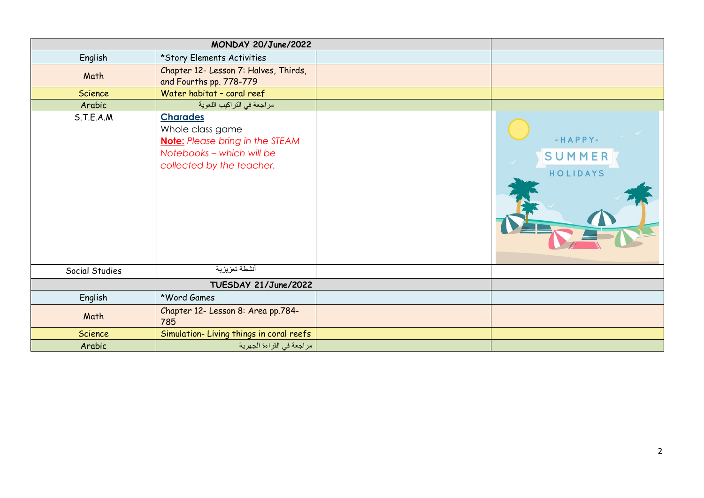|                      | MONDAY 20/June/2022                                                                                                                     |                                 |
|----------------------|-----------------------------------------------------------------------------------------------------------------------------------------|---------------------------------|
| English              | *Story Elements Activities                                                                                                              |                                 |
| Math                 | Chapter 12- Lesson 7: Halves, Thirds,<br>and Fourths pp. 778-779                                                                        |                                 |
| <b>Science</b>       | Water habitat - coral reef                                                                                                              |                                 |
| Arabic               | مراجعة في التراكيب اللغوية                                                                                                              |                                 |
| S.T.E.A.M            | <b>Charades</b><br>Whole class game<br><b>Note:</b> Please bring in the STEAM<br>Notebooks - which will be<br>collected by the teacher. | $-HAPPY-$<br>SUMMER<br>HOLIDAYS |
| Social Studies       | أنشطة تعزيزية                                                                                                                           |                                 |
| TUESDAY 21/June/2022 |                                                                                                                                         |                                 |
| English              | *Word Games                                                                                                                             |                                 |
| Math                 | Chapter 12- Lesson 8: Area pp.784-<br>785                                                                                               |                                 |
| <b>Science</b>       | Simulation-Living things in coral reefs                                                                                                 |                                 |
| Arabic               | مراجعة في القراءة الجهرية                                                                                                               |                                 |